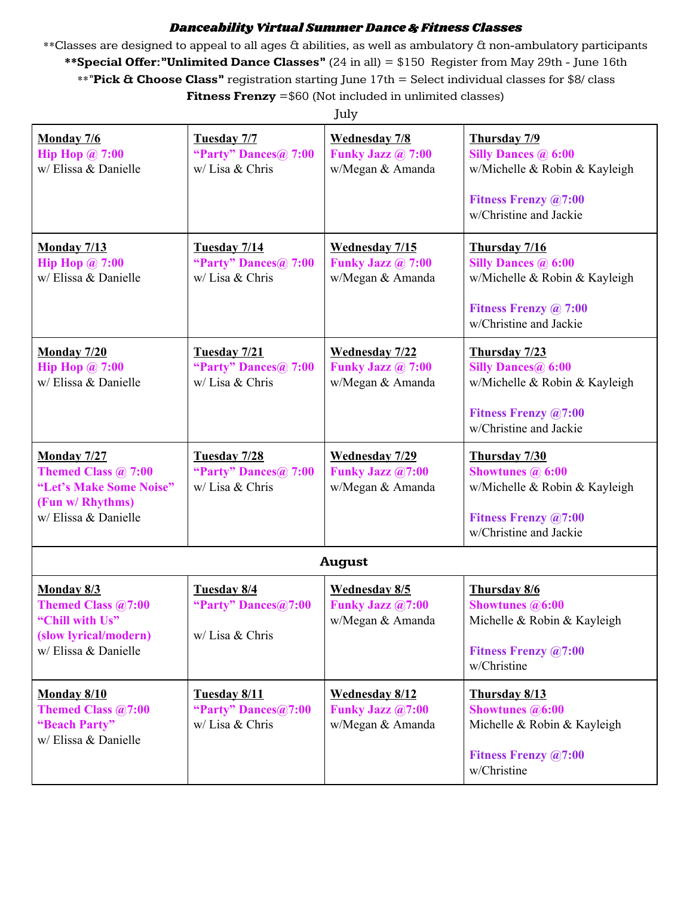#### Danceability Virtual Summer Dance & Fitness Classes

\*\*Classes are designed to appeal to all ages & abilities, as well as ambulatory & non-ambulatory participants **\*\*Special Offer:"Unlimited Dance Classes"** (24 in all) = \$150 Register from May 29th - June 16th \*\*"**Pick & Choose Class"** registration starting June 17th = Select individual classes for \$8/ class **Fitness Frenzy** =\$60 (Not included in unlimited classes)

|                                                                                                                         |                                                               | July.                                                                |                                                                                                                                                    |
|-------------------------------------------------------------------------------------------------------------------------|---------------------------------------------------------------|----------------------------------------------------------------------|----------------------------------------------------------------------------------------------------------------------------------------------------|
| <b>Monday 7/6</b><br><b>Hip Hop @ 7:00</b><br>w/ Elissa & Danielle                                                      | Tuesday 7/7<br>"Party" Dances@ 7:00<br>w/ Lisa & Chris        | <b>Wednesday 7/8</b><br>Funky Jazz @ 7:00<br>w/Megan & Amanda        | Thursday 7/9<br><b>Silly Dances @ 6:00</b><br>w/Michelle & Robin & Kayleigh<br><b>Fitness Frenzy @7:00</b><br>w/Christine and Jackie               |
| <b>Monday 7/13</b><br><b>Hip Hop @ 7:00</b><br>w/Elissa & Danielle                                                      | Tuesday 7/14<br>"Party" Dances@ 7:00<br>w/ Lisa & Chris       | <b>Wednesday 7/15</b><br>Funky Jazz @ 7:00<br>w/Megan & Amanda       | Thursday 7/16<br><b>Silly Dances @ 6:00</b><br>w/Michelle & Robin & Kayleigh<br><b>Fitness Frenzy @ 7:00</b><br>w/Christine and Jackie             |
| <b>Monday 7/20</b><br>Hip Hop $\omega$ 7:00<br>w/ Elissa & Danielle                                                     | Tuesday 7/21<br>"Party" Dances@ 7:00<br>w/ Lisa & Chris       | <b>Wednesday 7/22</b><br>Funky Jazz @ 7:00<br>w/Megan & Amanda       | Thursday 7/23<br><b>Silly Dances</b> <sup>(a)</sup> 6:00<br>w/Michelle & Robin & Kayleigh<br><b>Fitness Frenzy @7:00</b><br>w/Christine and Jackie |
| <b>Monday 7/27</b><br>Themed Class $\omega$ 7:00<br>"Let's Make Some Noise"<br>(Fun w/ Rhythms)<br>w/ Elissa & Danielle | Tuesday 7/28<br>"Party" Dances@ 7:00<br>w/ Lisa & Chris       | <b>Wednesday 7/29</b><br><b>Funky Jazz @7:00</b><br>w/Megan & Amanda | Thursday 7/30<br><b>Showtunes @ 6:00</b><br>w/Michelle & Robin & Kayleigh<br><b>Fitness Frenzy @7:00</b><br>w/Christine and Jackie                 |
|                                                                                                                         |                                                               | <b>August</b>                                                        |                                                                                                                                                    |
| Monday 8/3<br><b>Themed Class @7:00</b><br>"Chill with Us"<br>(slow lyrical/modern)<br>w/ Elissa & Danielle             | Tuesday 8/4<br>"Party" Dances@7:00<br>w/ Lisa & Chris         | <b>Wednesday 8/5</b><br><b>Funky Jazz @7:00</b><br>w/Megan & Amanda  | Thursday 8/6<br><b>Showtunes</b> @6:00<br>Michelle & Robin & Kayleigh<br><b>Fitness Frenzy @7:00</b><br>w/Christine                                |
| Monday 8/10<br>Themed Class @7:00<br>"Beach Party"<br>w/ Elissa & Danielle                                              | <b>Tuesday 8/11</b><br>"Party" Dances@7:00<br>w/ Lisa & Chris | <b>Wednesday 8/12</b><br>Funky Jazz @7:00<br>w/Megan & Amanda        | Thursday 8/13<br><b>Showtunes</b> @6:00<br>Michelle & Robin & Kayleigh<br><b>Fitness Frenzy @7:00</b><br>w/Christine                               |

July